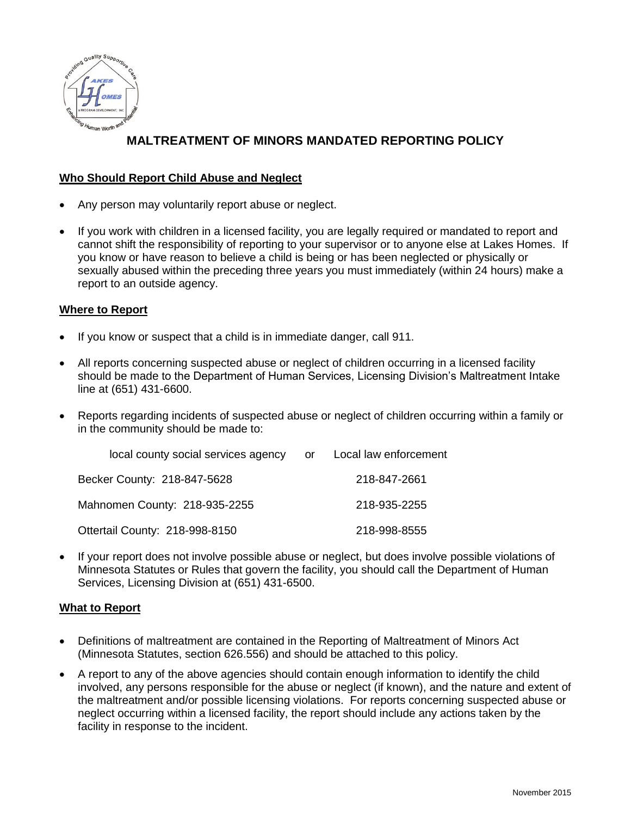

# **MALTREATMENT OF MINORS MANDATED REPORTING POLICY**

### **Who Should Report Child Abuse and Neglect**

- Any person may voluntarily report abuse or neglect.
- If you work with children in a licensed facility, you are legally required or mandated to report and cannot shift the responsibility of reporting to your supervisor or to anyone else at Lakes Homes. If you know or have reason to believe a child is being or has been neglected or physically or sexually abused within the preceding three years you must immediately (within 24 hours) make a report to an outside agency.

### **Where to Report**

- If you know or suspect that a child is in immediate danger, call 911.
- All reports concerning suspected abuse or neglect of children occurring in a licensed facility should be made to the Department of Human Services, Licensing Division's Maltreatment Intake line at (651) 431-6600.
- Reports regarding incidents of suspected abuse or neglect of children occurring within a family or in the community should be made to:

| local county social services agency | or — | Local law enforcement |
|-------------------------------------|------|-----------------------|
| Becker County: 218-847-5628         |      | 218-847-2661          |
| Mahnomen County: 218-935-2255       |      | 218-935-2255          |
| Ottertail County: 218-998-8150      |      | 218-998-8555          |

 If your report does not involve possible abuse or neglect, but does involve possible violations of Minnesota Statutes or Rules that govern the facility, you should call the Department of Human Services, Licensing Division at (651) 431-6500.

### **What to Report**

- Definitions of maltreatment are contained in the Reporting of Maltreatment of Minors Act (Minnesota Statutes, section 626.556) and should be attached to this policy.
- A report to any of the above agencies should contain enough information to identify the child involved, any persons responsible for the abuse or neglect (if known), and the nature and extent of the maltreatment and/or possible licensing violations. For reports concerning suspected abuse or neglect occurring within a licensed facility, the report should include any actions taken by the facility in response to the incident.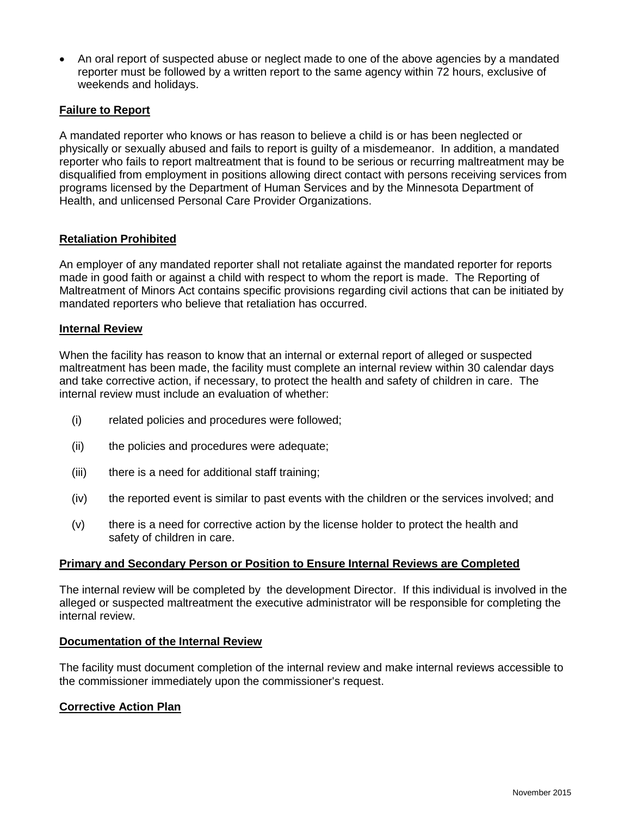An oral report of suspected abuse or neglect made to one of the above agencies by a mandated reporter must be followed by a written report to the same agency within 72 hours, exclusive of weekends and holidays.

## **Failure to Report**

A mandated reporter who knows or has reason to believe a child is or has been neglected or physically or sexually abused and fails to report is guilty of a misdemeanor. In addition, a mandated reporter who fails to report maltreatment that is found to be serious or recurring maltreatment may be disqualified from employment in positions allowing direct contact with persons receiving services from programs licensed by the Department of Human Services and by the Minnesota Department of Health, and unlicensed Personal Care Provider Organizations.

### **Retaliation Prohibited**

An employer of any mandated reporter shall not retaliate against the mandated reporter for reports made in good faith or against a child with respect to whom the report is made. The Reporting of Maltreatment of Minors Act contains specific provisions regarding civil actions that can be initiated by mandated reporters who believe that retaliation has occurred.

#### **Internal Review**

When the facility has reason to know that an internal or external report of alleged or suspected maltreatment has been made, the facility must complete an internal review within 30 calendar days and take corrective action, if necessary, to protect the health and safety of children in care. The internal review must include an evaluation of whether:

- (i) related policies and procedures were followed;
- (ii) the policies and procedures were adequate;
- (iii) there is a need for additional staff training;
- (iv) the reported event is similar to past events with the children or the services involved; and
- (v) there is a need for corrective action by the license holder to protect the health and safety of children in care.

#### **Primary and Secondary Person or Position to Ensure Internal Reviews are Completed**

The internal review will be completed by the development Director. If this individual is involved in the alleged or suspected maltreatment the executive administrator will be responsible for completing the internal review.

#### **Documentation of the Internal Review**

The facility must document completion of the internal review and make internal reviews accessible to the commissioner immediately upon the commissioner's request.

#### **Corrective Action Plan**